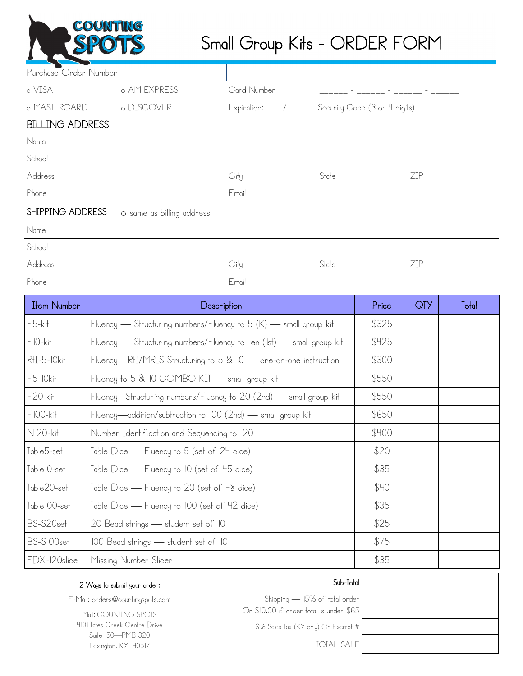

## Small Group Kits - ORDER FORM

| Purchase Order Number  |                           |                                                         |       |                                                                                                                       |            |       |
|------------------------|---------------------------|---------------------------------------------------------|-------|-----------------------------------------------------------------------------------------------------------------------|------------|-------|
| o VISA                 | o AM EXPRESS              | Card Number                                             |       | <u> 1990 - Andrea State Barbara, amerikan personal di sebagai personal di sebagai personal di sebagai personal di</u> |            |       |
| o MASTERCARD           | o DISCOVER                | Expiration: __/___ Security Code (3 or 4 digits) ______ |       |                                                                                                                       |            |       |
| <b>BILLING ADDRESS</b> |                           |                                                         |       |                                                                                                                       |            |       |
| Name                   |                           |                                                         |       |                                                                                                                       |            |       |
| School                 |                           |                                                         |       |                                                                                                                       |            |       |
| Address                |                           | City                                                    | State |                                                                                                                       | ZIP        |       |
| Phone                  |                           | Email                                                   |       |                                                                                                                       |            |       |
| SHIPPING ADDRESS       | o same as billing address |                                                         |       |                                                                                                                       |            |       |
| Name                   |                           |                                                         |       |                                                                                                                       |            |       |
| School                 |                           |                                                         |       |                                                                                                                       |            |       |
| Address                |                           | City                                                    | State |                                                                                                                       | ZIP        |       |
| Phone                  |                           | Email                                                   |       |                                                                                                                       |            |       |
| <b>Item Number</b>     |                           | Description                                             |       | Price                                                                                                                 | <b>QTY</b> | Tolal |

| <b>Item Number</b>      | Description                                                          | <b>Price</b> | UI Z | Total |
|-------------------------|----------------------------------------------------------------------|--------------|------|-------|
| $F5-k$                  | Fluency — Structuring numbers/Fluency to 5 (K) — small group kit     | \$325        |      |       |
| $FIO-kit$               | Fluency — Structuring numbers/Fluency to Ten (Ist) — small group kit | \$425        |      |       |
| $RH-5-10kH$             | Fluency—RHI/MRIS Structuring to 5 & 10 — one-on-one instruction      | \$300        |      |       |
| $F5-10k$ it             | Fluency to 5 & 10 COMBO KIT - small group kit                        | \$550        |      |       |
| F20-kit                 | Fluency- Structuring numbers/Fluency to 20 (2nd) - small group kit   | \$550        |      |       |
| $FIOO-kit$              | Fluency—addition/subtraction to 100 (2nd) — small group kit          | \$650        |      |       |
| NI20-kit                | Number Identification and Sequencing to 120                          | \$400        |      |       |
| Table5-set              | Table Dice — Fluency to 5 (set of 24 dice)                           | \$20         |      |       |
| Table IO-set            | Table Dice — Fluency to 10 (set of 45 dice)                          | \$35         |      |       |
| Table20-se <del>l</del> | [able Dice — Fluency to 20 (set of 48 dice)                          | \$40         |      |       |
| Table IOO-set           | Table Dice — Fluency to 100 (set of 42 dice)                         | \$35         |      |       |
| BS-S20set               | 20 Bead strings — student set of 10                                  | \$25         |      |       |
| BS-SI00set              | 100 Bead strings — student set of 10                                 | \$75         |      |       |
| EDX-120slide            | Missing Number Slider                                                | \$35         |      |       |
|                         |                                                                      |              |      |       |

## Sub-Total

| Shipping — 15% of total order           |  |  |
|-----------------------------------------|--|--|
| Or \$10.00 if order total is under \$65 |  |  |

6% Sales Tax (KY only) Or Exempt #

TOTAL SALE

2 Ways to submit your order:

E-Mail: orders@countingspots.com

Mail: COUNTING SPOTS 4101 Tates Creek Centre Drive Suite 150—PMB 320 Lexington, KY 40517